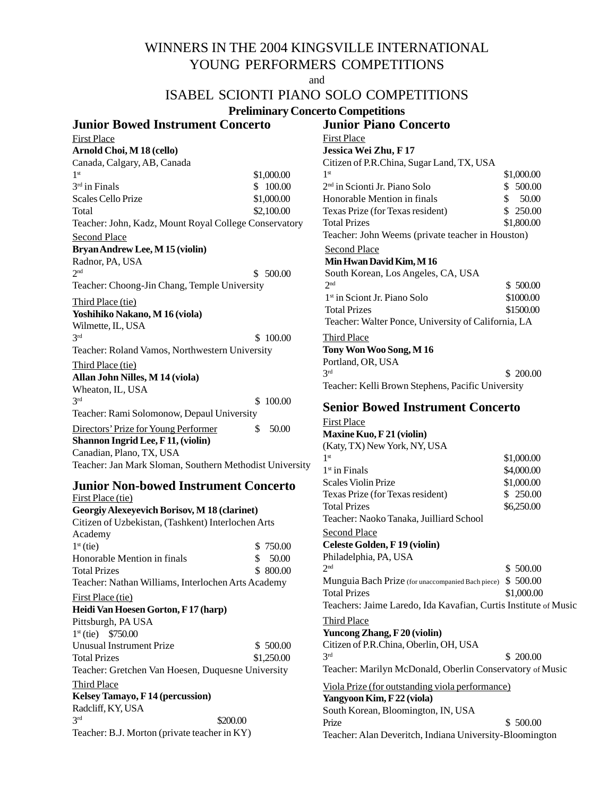# WINNERS IN THE 2004 KINGSVILLE INTERNATIONAL YOUNG PERFORMERS COMPETITIONS

and

## ISABEL SCIONTI PIANO SOLO COMPETITIONS

#### **Preliminary Concerto Competitions**

**Junior Piano Concerto**

## **Junior Bowed Instrument Concerto** First Place **Arnold Choi, M 18 (cello)** Canada, Calgary, AB, Canada  $1<sup>st</sup>$  \$1,000.00  $3<sup>rd</sup>$  in Finals  $$ 100.00$ Scales Cello Prize  $$1,000.00$ Total \$2,100.00 Teacher: John, Kadz, Mount Royal College Conservatory Second Place **Bryan Andrew Lee, M 15 (violin)** Radnor, PA, USA  $2<sup>nd</sup>$  \$ 500.00 Teacher: Choong-Jin Chang, Temple University Third Place (tie) **Yoshihiko Nakano, M 16 (viola)** Wilmette, IL, USA  $3<sup>rd</sup>$  \$ 100.00 Teacher: Roland Vamos, Northwestern University Third Place (tie) **Allan John Nilles, M 14 (viola)** Wheaton, IL, USA  $3<sup>rd</sup>$  \$ 100.00 Teacher: Rami Solomonow, Depaul University Directors' Prize for Young Performer \$ 50.00 **Shannon Ingrid Lee, F 11, (violin)** Canadian, Plano, TX, USA Teacher: Jan Mark Sloman, Southern Methodist University

#### **Junior Non-bowed Instrument Concerto** First Place (tie)

**Georgiy Alexeyevich Borisov, M 18 (clarinet)** Citizen of Uzbekistan, (Tashkent) Interlochen Arts Academy  $1<sup>st</sup>$  (tie)  $$ 750.00$ Honorable Mention in finals \$ 50.00 Total Prizes \$ 800.00 Teacher: Nathan Williams, Interlochen Arts Academy First Place (tie) **Heidi Van Hoesen Gorton, F 17 (harp)** Pittsburgh, PA USA 1st (tie) \$750.00 Unusual Instrument Prize \$500.00 Total Prizes \$1,250.00 Teacher: Gretchen Van Hoesen, Duquesne University Third Place **Kelsey Tamayo, F 14 (percussion)** Radcliff, KY, USA  $3<sup>rd</sup>$  \$200.00 Teacher: B.J. Morton (private teacher in KY)

| First Place                                         |             |
|-----------------------------------------------------|-------------|
| Jessica Wei Zhu, F 17                               |             |
| Citizen of P.R.China, Sugar Land, TX, USA           |             |
| 1 <sup>st</sup>                                     | \$1,000.00  |
| 2 <sup>nd</sup> in Scionti Jr. Piano Solo           | \$ 500.00   |
| Honorable Mention in finals                         | \$<br>50.00 |
| Texas Prize (for Texas resident)                    | \$250.00    |
| <b>Total Prizes</b>                                 | \$1,800.00  |
| Teacher: John Weems (private teacher in Houston)    |             |
| <b>Second Place</b>                                 |             |
| Min Hwan David Kim, M 16                            |             |
| South Korean, Los Angeles, CA, USA                  |             |
| 2 <sub>nd</sub>                                     | \$500.00    |
| 1 <sup>st</sup> in Sciont Jr. Piano Solo            | \$1000.00   |
| <b>Total Prizes</b>                                 | \$1500.00   |
| Teacher: Walter Ponce, University of California, LA |             |
| <u>Third Place</u>                                  |             |
| Tony Won Woo Song, M 16                             |             |
| Portland, OR, USA                                   |             |
| 3 <sup>rd</sup>                                     | \$200.00    |
| Teacher: Kelli Brown Stephens, Pacific University   |             |

## **Senior Bowed Instrument Concerto**

First Place **Maxine Kuo, F 21 (violin)** (Katy, TX) New York, NY, USA  $1<sup>st</sup>$  \$1,000.00  $1<sup>st</sup>$  in Finals \$4,000.00 Scales Violin Prize \$1,000.00 Texas Prize (for Texas resident) \$ 250.00 Total Prizes \$6,250.00 Teacher: Naoko Tanaka, Juilliard School Second Place **Celeste Golden, F 19 (violin)** Philadelphia, PA, USA  $2<sup>nd</sup>$  \$ 500.00 Munguia Bach Prize (for unaccompanied Bach piece) \$ 500.00 Total Prizes \$1,000.00 Teachers: Jaime Laredo, Ida Kavafian, Curtis Institute of Music Third Place **Yuncong Zhang, F 20 (violin)** Citizen of P.R.China, Oberlin, OH, USA  $3<sup>rd</sup>$  \$ 200.00 Teacher: Marilyn McDonald, Oberlin Conservatory of Music Viola Prize (for outstanding viola performance) **Yangyoon Kim, F 22 (viola)** South Korean, Bloomington, IN, USA Prize \$ 500.00 Teacher: Alan Deveritch, Indiana University-Bloomington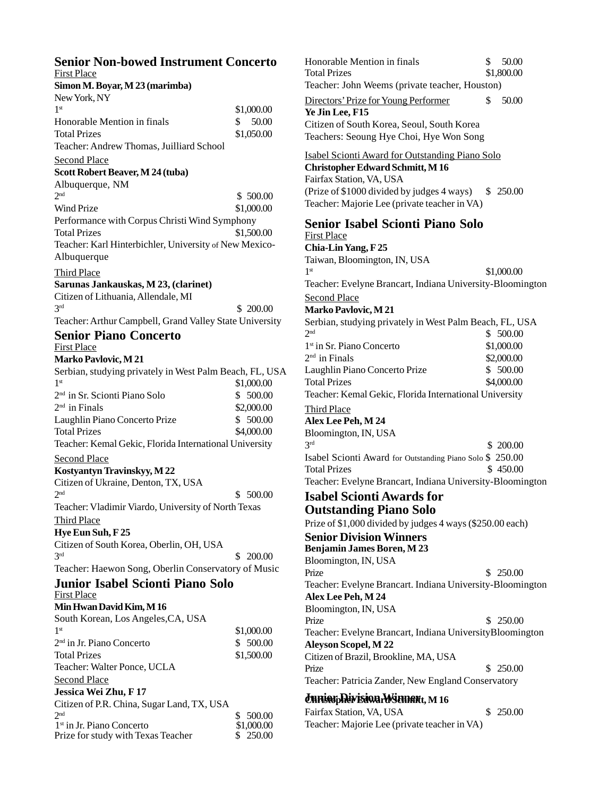| <b>Senior Non-bowed Instrument Concerto</b><br><b>First Place</b> |                            |
|-------------------------------------------------------------------|----------------------------|
| Simon M. Boyar, M 23 (marimba)                                    |                            |
| New York, NY                                                      |                            |
| 1 <sup>st</sup>                                                   | \$1,000.00                 |
| Honorable Mention in finals                                       | 50.00<br>$^{\circ}$        |
| <b>Total Prizes</b>                                               | \$1,050.00                 |
| Teacher: Andrew Thomas, Juilliard School                          |                            |
| <b>Second Place</b>                                               |                            |
|                                                                   |                            |
| Scott Robert Beaver, M 24 (tuba)                                  |                            |
| Albuquerque, NM<br>2 <sub>nd</sub>                                |                            |
|                                                                   | \$500.00                   |
| Wind Prize                                                        | \$1,000.00                 |
| Performance with Corpus Christi Wind Symphony                     |                            |
| <b>Total Prizes</b>                                               | \$1,500.00                 |
| Teacher: Karl Hinterbichler, University of New Mexico-            |                            |
| Albuquerque                                                       |                            |
| <b>Third Place</b>                                                |                            |
| Sarunas Jankauskas, M 23, (clarinet)                              |                            |
| Citizen of Lithuania, Allendale, MI                               |                            |
| 3rd                                                               | \$200.00                   |
| Teacher: Arthur Campbell, Grand Valley State University           |                            |
| <b>Senior Piano Concerto</b>                                      |                            |
| <b>First Place</b>                                                |                            |
| <b>Marko Pavlovic, M 21</b>                                       |                            |
| Serbian, studying privately in West Palm Beach, FL, USA           |                            |
| 1 <sup>st</sup>                                                   | \$1,000.00                 |
| 2 <sup>nd</sup> in Sr. Scionti Piano Solo                         | \$ 500.00                  |
| 2 <sup>nd</sup> in Finals                                         |                            |
|                                                                   | \$2,000.00                 |
| Laughlin Piano Concerto Prize                                     | \$ 500.00                  |
| <b>Total Prizes</b>                                               | \$4,000.00                 |
| Teacher: Kemal Gekic, Florida International University            |                            |
| <b>Second Place</b>                                               |                            |
| Kostyantyn Travinskyy, M 22                                       |                            |
| Citizen of Ukraine, Denton, TX, USA                               |                            |
| 2 <sub>nd</sub>                                                   | \$ 500.00                  |
| Teacher: Vladimir Viardo, University of North Texas               |                            |
| <b>Third Place</b>                                                |                            |
| Hye Eun Suh, F25                                                  |                            |
| Citizen of South Korea, Oberlin, OH, USA                          |                            |
| 3 <sup>rd</sup>                                                   | \$ 200.00                  |
| Teacher: Haewon Song, Oberlin Conservatory of Music               |                            |
| <b>Junior Isabel Scionti Piano Solo</b>                           |                            |
| <b>First Place</b>                                                |                            |
| Min Hwan David Kim, M 16                                          |                            |
| South Korean, Los Angeles, CA, USA                                |                            |
| 1 <sup>st</sup>                                                   |                            |
| 2 <sup>nd</sup> in Jr. Piano Concerto                             | \$1,000.00                 |
|                                                                   | \$ 500.00                  |
| <b>Total Prizes</b>                                               | \$1,500.00                 |
| Teacher: Walter Ponce, UCLA                                       |                            |
| <b>Second Place</b>                                               |                            |
| Jessica Wei Zhu, F 17                                             |                            |
| Citizen of P.R. China, Sugar Land, TX, USA                        |                            |
| 2 <sup>nd</sup><br>1 <sup>st</sup> in Jr. Piano Concerto          | \$<br>500.00               |
| Prize for study with Texas Teacher                                | \$1,000.00<br>\$<br>250.00 |

Directors' Prize for Young Performer \$ 50.00 **Ye Jin Lee, F15** Citizen of South Korea, Seoul, South Korea Teachers: Seoung Hye Choi, Hye Won Song Isabel Scionti Award for Outstanding Piano Solo **Christopher Edward Schmitt, M 16** Fairfax Station, VA, USA (Prize of  $$1000$  divided by judges 4 ways)  $$250.00$ Teacher: Majorie Lee (private teacher in VA) **Senior Isabel Scionti Piano Solo** First Place **Chia-Lin Yang, F 25** Taiwan, Bloomington, IN, USA  $1<sup>st</sup>$  \$1,000.00 Teacher: Evelyne Brancart, Indiana University-Bloomington Second Place **Marko Pavlovic, M 21** Serbian, studying privately in West Palm Beach, FL, USA<br>  $2<sup>nd</sup>$  \$ 500.00  $$ 500.00$ 1<sup>st</sup> in Sr. Piano Concerto \$1,000.00  $2<sup>nd</sup>$  in Finals \$2,000.00 Laughlin Piano Concerto Prize \$ 500.00 Total Prizes \$4,000.00 Teacher: Kemal Gekic, Florida International University Third Place **Alex Lee Peh, M 24** Bloomington, IN, USA  $3<sup>rd</sup>$  \$ 200.00 Isabel Scionti Award for Outstanding Piano Solo \$ 250.00 Total Prizes \$ 450.00 Teacher: Evelyne Brancart, Indiana University-Bloomington **Senior Division Winners Benjamin James Boren, M 23** Bloomington, IN, USA Prize \$ 250.00 Teacher: Evelyne Brancart. Indiana University-Bloomington **Alex Lee Peh, M 24** Bloomington, IN, USA Prize \$ 250.00 Teacher: Evelyne Brancart, Indiana UniversityBloomington **Aleyson Scopel, M 22** Citizen of Brazil, Brookline, MA, USA Prize \$ 250.00 Total Prizes \$1,800.00 Teacher: John Weems (private teacher, Houston) Honorable Mention in finals \$ 50.00 **Isabel Scionti Awards for Outstanding Piano Solo** Prize of \$1,000 divided by judges 4 ways (\$250.00 each)

Teacher: Patricia Zander, New England Conservatory

## $\boldsymbol{d}$ **unior Division Winner**t, M 16

Fairfax Station, VA, USA  $$ 250.00$ Teacher: Majorie Lee (private teacher in VA)